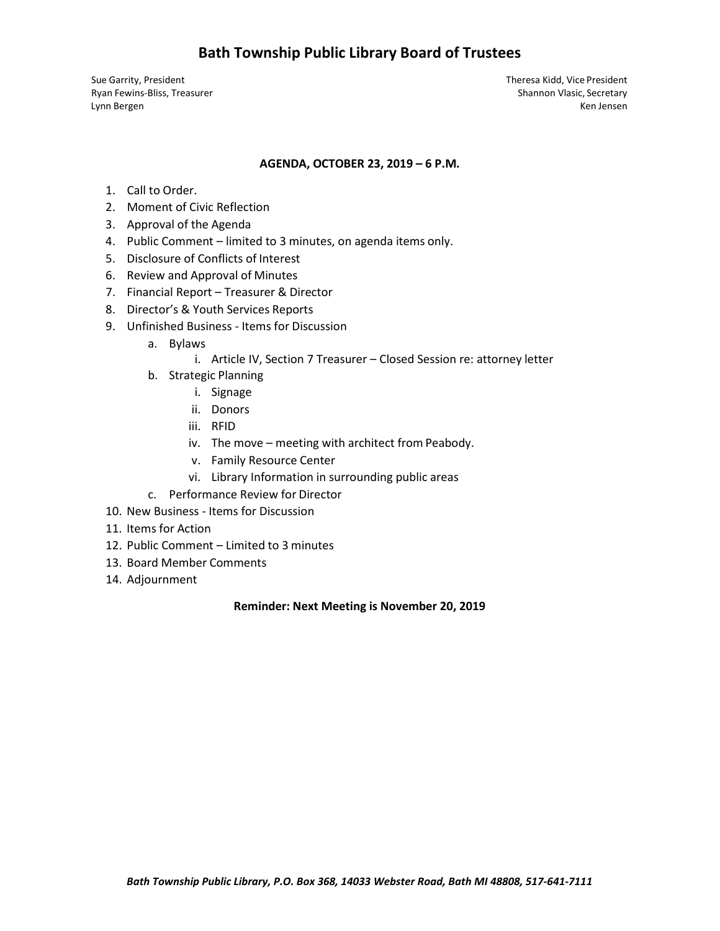## **Bath Township Public Library Board of Trustees**

Sue Garrity, President Theresa Kidd, Vice President

Ryan Fewins-Bliss, Treasurer Shannon Vlasic, Secretary Shannon Vlasic, Secretary Lynn Bergen Ken Jensen Ken Jensen Ken Jensen Ken Jensen Ken Jensen Ken Jensen Ken Jensen Ken Jensen Ken Jensen

### **AGENDA, OCTOBER 23, 2019 – 6 P.M.**

- 1. Call to Order.
- 2. Moment of Civic Reflection
- 3. Approval of the Agenda
- 4. Public Comment limited to 3 minutes, on agenda items only.
- 5. Disclosure of Conflicts of Interest
- 6. Review and Approval of Minutes
- 7. Financial Report Treasurer & Director
- 8. Director's & Youth Services Reports
- 9. Unfinished Business Items for Discussion
	- a. Bylaws
		- i. Article IV, Section 7 Treasurer Closed Session re: attorney letter
	- b. Strategic Planning
		- i. Signage
		- ii. Donors
		- iii. RFID
		- iv. The move meeting with architect from Peabody.
		- v. Family Resource Center
		- vi. Library Information in surrounding public areas
	- c. Performance Review for Director
- 10. New Business Items for Discussion
- 11. Items for Action
- 12. Public Comment Limited to 3 minutes
- 13. Board Member Comments
- 14. Adjournment

## **Reminder: Next Meeting is November 20, 2019**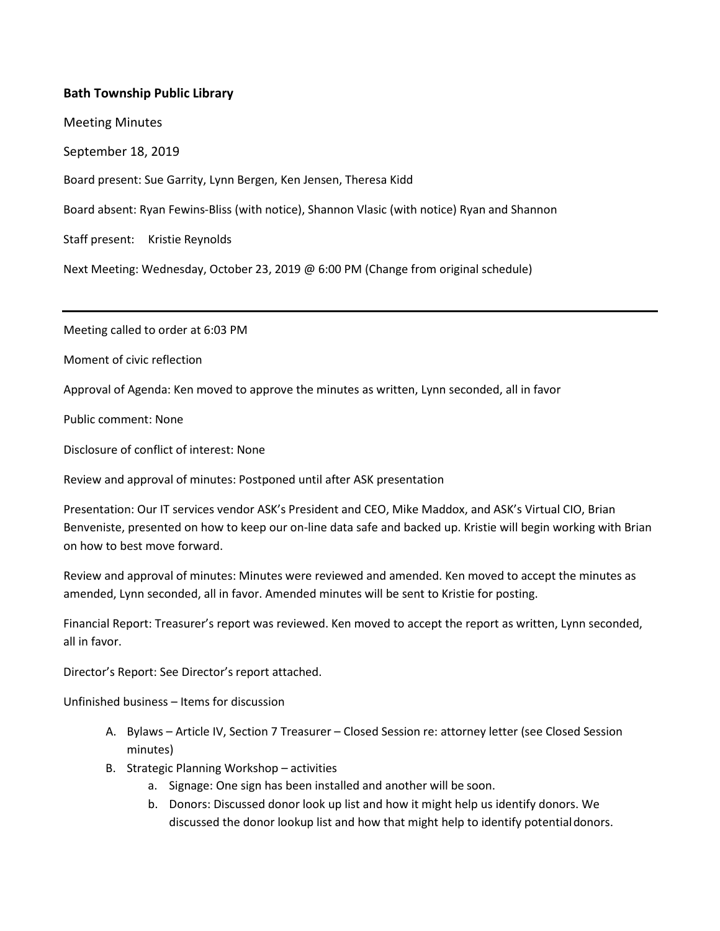## **Bath Township Public Library**

Meeting Minutes

September 18, 2019

Board present: Sue Garrity, Lynn Bergen, Ken Jensen, Theresa Kidd

Board absent: Ryan Fewins-Bliss (with notice), Shannon Vlasic (with notice) Ryan and Shannon

Staff present: Kristie Reynolds

Next Meeting: Wednesday, October 23, 2019 @ 6:00 PM (Change from original schedule)

Meeting called to order at 6:03 PM

Moment of civic reflection

Approval of Agenda: Ken moved to approve the minutes as written, Lynn seconded, all in favor

Public comment: None

Disclosure of conflict of interest: None

Review and approval of minutes: Postponed until after ASK presentation

Presentation: Our IT services vendor ASK's President and CEO, Mike Maddox, and ASK's Virtual CIO, Brian Benveniste, presented on how to keep our on-line data safe and backed up. Kristie will begin working with Brian on how to best move forward.

Review and approval of minutes: Minutes were reviewed and amended. Ken moved to accept the minutes as amended, Lynn seconded, all in favor. Amended minutes will be sent to Kristie for posting.

Financial Report: Treasurer's report was reviewed. Ken moved to accept the report as written, Lynn seconded, all in favor.

Director's Report: See Director's report attached.

Unfinished business – Items for discussion

- A. Bylaws Article IV, Section 7 Treasurer Closed Session re: attorney letter (see Closed Session minutes)
- B. Strategic Planning Workshop activities
	- a. Signage: One sign has been installed and another will be soon.
	- b. Donors: Discussed donor look up list and how it might help us identify donors. We discussed the donor lookup list and how that might help to identify potentialdonors.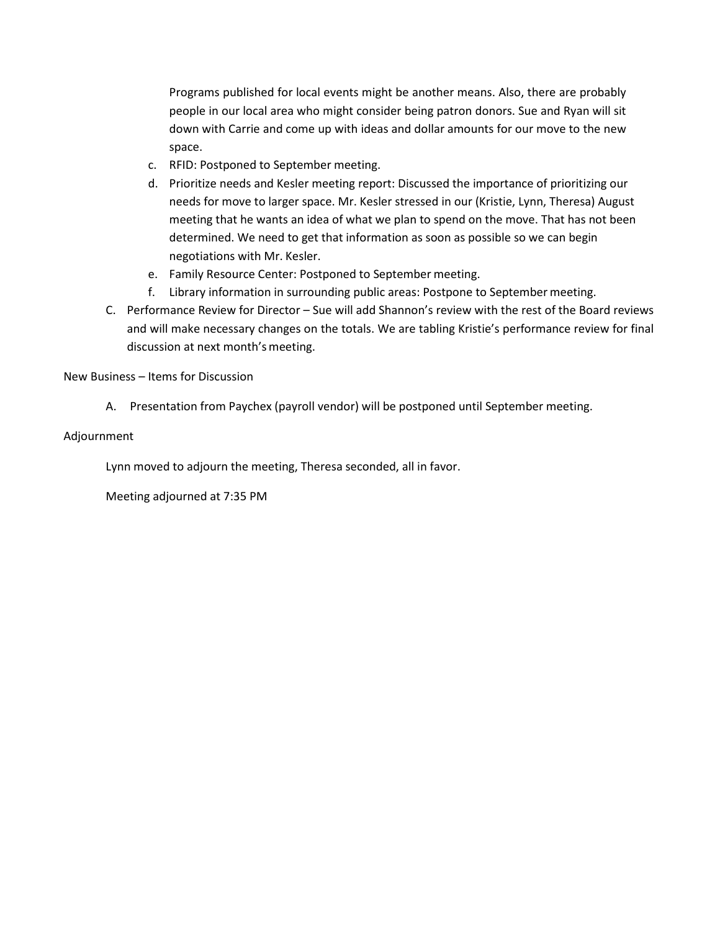Programs published for local events might be another means. Also, there are probably people in our local area who might consider being patron donors. Sue and Ryan will sit down with Carrie and come up with ideas and dollar amounts for our move to the new space.

- c. RFID: Postponed to September meeting.
- d. Prioritize needs and Kesler meeting report: Discussed the importance of prioritizing our needs for move to larger space. Mr. Kesler stressed in our (Kristie, Lynn, Theresa) August meeting that he wants an idea of what we plan to spend on the move. That has not been determined. We need to get that information as soon as possible so we can begin negotiations with Mr. Kesler.
- e. Family Resource Center: Postponed to September meeting.
- f. Library information in surrounding public areas: Postpone to September meeting.
- C. Performance Review for Director Sue will add Shannon's review with the rest of the Board reviews and will make necessary changes on the totals. We are tabling Kristie's performance review for final discussion at next month's meeting.

### New Business – Items for Discussion

A. Presentation from Paychex (payroll vendor) will be postponed until September meeting.

### Adjournment

Lynn moved to adjourn the meeting, Theresa seconded, all in favor.

Meeting adjourned at 7:35 PM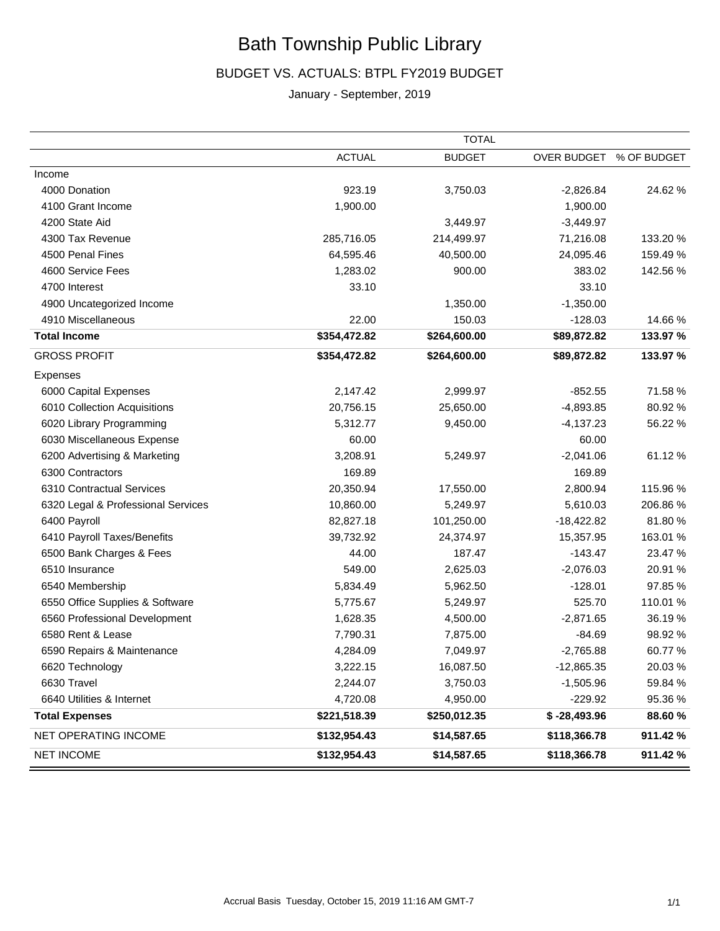# Bath Township Public Library

## BUDGET VS. ACTUALS: BTPL FY2019 BUDGET

## January - September, 2019

|                                    | <b>TOTAL</b>  |               |                         |          |
|------------------------------------|---------------|---------------|-------------------------|----------|
|                                    | <b>ACTUAL</b> | <b>BUDGET</b> | OVER BUDGET % OF BUDGET |          |
| Income                             |               |               |                         |          |
| 4000 Donation                      | 923.19        | 3,750.03      | $-2,826.84$             | 24.62%   |
| 4100 Grant Income                  | 1,900.00      |               | 1,900.00                |          |
| 4200 State Aid                     |               | 3,449.97      | $-3,449.97$             |          |
| 4300 Tax Revenue                   | 285,716.05    | 214,499.97    | 71,216.08               | 133.20 % |
| 4500 Penal Fines                   | 64,595.46     | 40,500.00     | 24,095.46               | 159.49 % |
| 4600 Service Fees                  | 1,283.02      | 900.00        | 383.02                  | 142.56 % |
| 4700 Interest                      | 33.10         |               | 33.10                   |          |
| 4900 Uncategorized Income          |               | 1,350.00      | $-1,350.00$             |          |
| 4910 Miscellaneous                 | 22.00         | 150.03        | $-128.03$               | 14.66%   |
| <b>Total Income</b>                | \$354,472.82  | \$264,600.00  | \$89,872.82             | 133.97 % |
| <b>GROSS PROFIT</b>                | \$354,472.82  | \$264,600.00  | \$89,872.82             | 133.97 % |
| Expenses                           |               |               |                         |          |
| 6000 Capital Expenses              | 2,147.42      | 2,999.97      | $-852.55$               | 71.58 %  |
| 6010 Collection Acquisitions       | 20,756.15     | 25,650.00     | $-4,893.85$             | 80.92%   |
| 6020 Library Programming           | 5,312.77      | 9,450.00      | $-4,137.23$             | 56.22 %  |
| 6030 Miscellaneous Expense         | 60.00         |               | 60.00                   |          |
| 6200 Advertising & Marketing       | 3,208.91      | 5,249.97      | $-2,041.06$             | 61.12%   |
| 6300 Contractors                   | 169.89        |               | 169.89                  |          |
| 6310 Contractual Services          | 20,350.94     | 17,550.00     | 2,800.94                | 115.96 % |
| 6320 Legal & Professional Services | 10,860.00     | 5,249.97      | 5,610.03                | 206.86%  |
| 6400 Payroll                       | 82,827.18     | 101,250.00    | $-18,422.82$            | 81.80%   |
| 6410 Payroll Taxes/Benefits        | 39,732.92     | 24,374.97     | 15,357.95               | 163.01 % |
| 6500 Bank Charges & Fees           | 44.00         | 187.47        | $-143.47$               | 23.47 %  |
| 6510 Insurance                     | 549.00        | 2,625.03      | $-2,076.03$             | 20.91 %  |
| 6540 Membership                    | 5,834.49      | 5,962.50      | $-128.01$               | 97.85 %  |
| 6550 Office Supplies & Software    | 5,775.67      | 5,249.97      | 525.70                  | 110.01 % |
| 6560 Professional Development      | 1,628.35      | 4,500.00      | $-2,871.65$             | 36.19%   |
| 6580 Rent & Lease                  | 7,790.31      | 7,875.00      | $-84.69$                | 98.92 %  |
| 6590 Repairs & Maintenance         | 4,284.09      | 7,049.97      | $-2,765.88$             | 60.77%   |
| 6620 Technology                    | 3,222.15      | 16,087.50     | $-12,865.35$            | 20.03%   |
| 6630 Travel                        | 2,244.07      | 3,750.03      | $-1,505.96$             | 59.84 %  |
| 6640 Utilities & Internet          | 4,720.08      | 4,950.00      | $-229.92$               | 95.36 %  |
| <b>Total Expenses</b>              | \$221,518.39  | \$250,012.35  | $$ -28,493.96$          | 88.60 %  |
| NET OPERATING INCOME               | \$132,954.43  | \$14,587.65   | \$118,366.78            | 911.42 % |
| <b>NET INCOME</b>                  | \$132,954.43  | \$14,587.65   | \$118,366.78            | 911.42 % |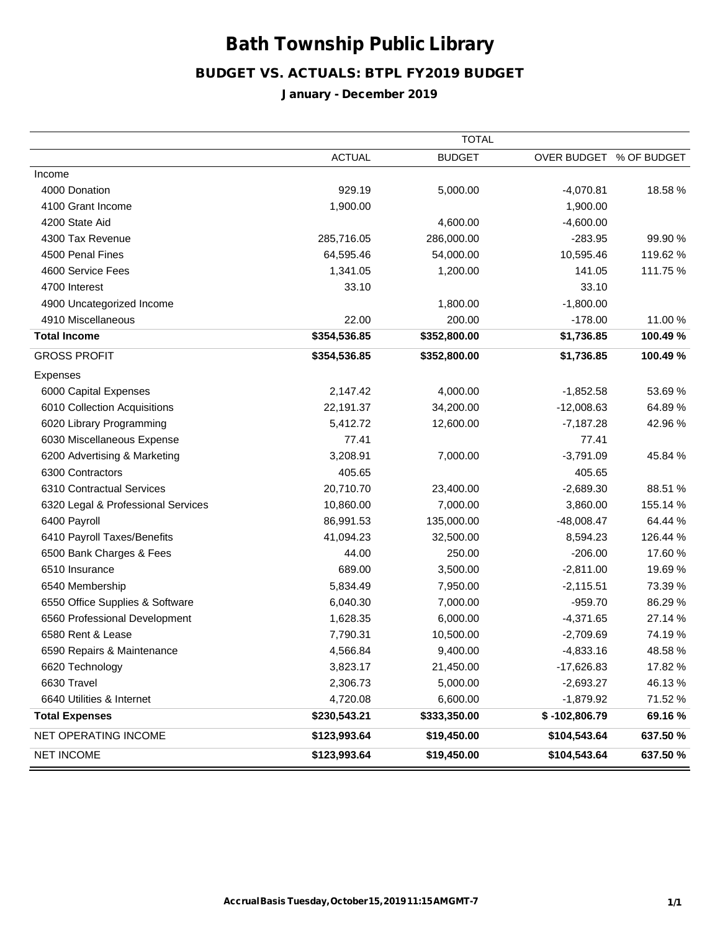# Bath Township PublicLibrary

## BUDGET VS. ACTUALS: BTPL FY2019 BUDGET

## January - December 2019

|                                    | <b>TOTAL</b>  |               |                 |                         |
|------------------------------------|---------------|---------------|-----------------|-------------------------|
|                                    | <b>ACTUAL</b> | <b>BUDGET</b> |                 | OVER BUDGET % OF BUDGET |
| Income                             |               |               |                 |                         |
| 4000 Donation                      | 929.19        | 5,000.00      | $-4,070.81$     | 18.58%                  |
| 4100 Grant Income                  | 1,900.00      |               | 1,900.00        |                         |
| 4200 State Aid                     |               | 4,600.00      | $-4,600.00$     |                         |
| 4300 Tax Revenue                   | 285,716.05    | 286,000.00    | $-283.95$       | 99.90 %                 |
| 4500 Penal Fines                   | 64,595.46     | 54,000.00     | 10,595.46       | 119.62 %                |
| 4600 Service Fees                  | 1,341.05      | 1,200.00      | 141.05          | 111.75 %                |
| 4700 Interest                      | 33.10         |               | 33.10           |                         |
| 4900 Uncategorized Income          |               | 1,800.00      | $-1,800.00$     |                         |
| 4910 Miscellaneous                 | 22.00         | 200.00        | $-178.00$       | 11.00 %                 |
| <b>Total Income</b>                | \$354,536.85  | \$352,800.00  | \$1,736.85      | 100.49 %                |
| <b>GROSS PROFIT</b>                | \$354,536.85  | \$352,800.00  | \$1,736.85      | 100.49 %                |
| Expenses                           |               |               |                 |                         |
| 6000 Capital Expenses              | 2,147.42      | 4,000.00      | $-1,852.58$     | 53.69%                  |
| 6010 Collection Acquisitions       | 22,191.37     | 34,200.00     | $-12,008.63$    | 64.89%                  |
| 6020 Library Programming           | 5,412.72      | 12,600.00     | $-7,187.28$     | 42.96%                  |
| 6030 Miscellaneous Expense         | 77.41         |               | 77.41           |                         |
| 6200 Advertising & Marketing       | 3,208.91      | 7,000.00      | $-3,791.09$     | 45.84 %                 |
| 6300 Contractors                   | 405.65        |               | 405.65          |                         |
| 6310 Contractual Services          | 20,710.70     | 23,400.00     | $-2,689.30$     | 88.51 %                 |
| 6320 Legal & Professional Services | 10,860.00     | 7,000.00      | 3,860.00        | 155.14 %                |
| 6400 Payroll                       | 86,991.53     | 135,000.00    | $-48,008.47$    | 64.44 %                 |
| 6410 Payroll Taxes/Benefits        | 41,094.23     | 32,500.00     | 8,594.23        | 126.44 %                |
| 6500 Bank Charges & Fees           | 44.00         | 250.00        | $-206.00$       | 17.60%                  |
| 6510 Insurance                     | 689.00        | 3,500.00      | $-2,811.00$     | 19.69%                  |
| 6540 Membership                    | 5,834.49      | 7,950.00      | $-2,115.51$     | 73.39 %                 |
| 6550 Office Supplies & Software    | 6,040.30      | 7,000.00      | $-959.70$       | 86.29%                  |
| 6560 Professional Development      | 1,628.35      | 6,000.00      | $-4,371.65$     | 27.14 %                 |
| 6580 Rent & Lease                  | 7,790.31      | 10,500.00     | $-2,709.69$     | 74.19%                  |
| 6590 Repairs & Maintenance         | 4,566.84      | 9,400.00      | $-4,833.16$     | 48.58 %                 |
| 6620 Technology                    | 3,823.17      | 21,450.00     | $-17,626.83$    | 17.82 %                 |
| 6630 Travel                        | 2,306.73      | 5,000.00      | $-2,693.27$     | 46.13%                  |
| 6640 Utilities & Internet          | 4,720.08      | 6,600.00      | $-1,879.92$     | 71.52 %                 |
| <b>Total Expenses</b>              | \$230,543.21  | \$333,350.00  | $$ -102,806.79$ | 69.16%                  |
| NET OPERATING INCOME               | \$123,993.64  | \$19,450.00   | \$104,543.64    | 637.50 %                |
| <b>NET INCOME</b>                  | \$123,993.64  | \$19,450.00   | \$104,543.64    | 637.50 %                |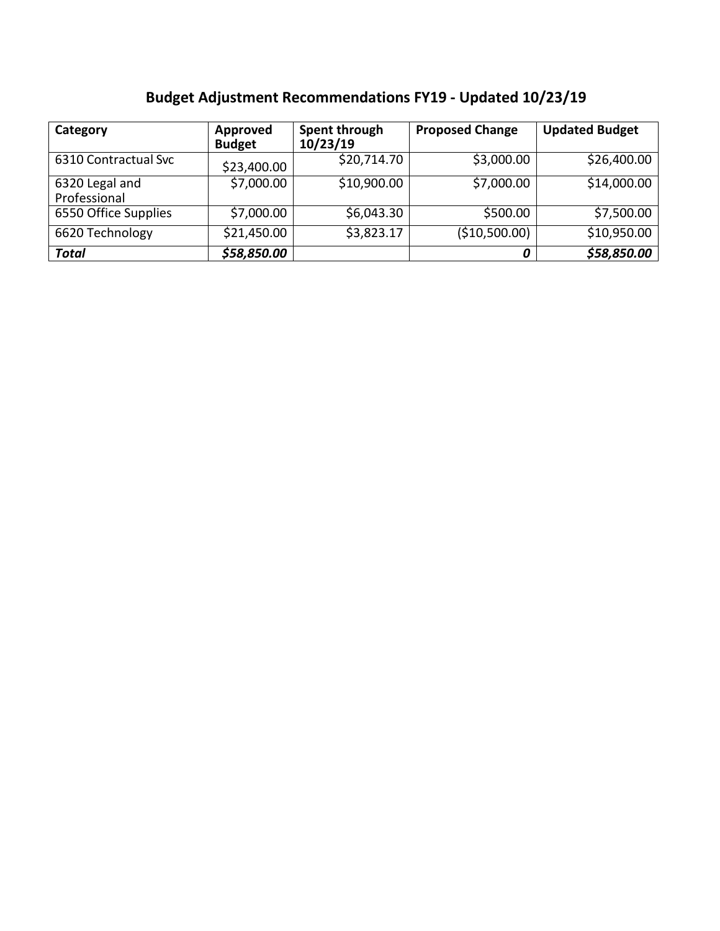|  | <b>Budget Adjustment Recommendations FY19 - Updated 10/23/19</b> |  |  |
|--|------------------------------------------------------------------|--|--|
|--|------------------------------------------------------------------|--|--|

| Category                       | Approved<br><b>Budget</b> | Spent through<br>10/23/19 | <b>Proposed Change</b> | <b>Updated Budget</b> |
|--------------------------------|---------------------------|---------------------------|------------------------|-----------------------|
| 6310 Contractual Svc           | \$23,400.00               | \$20,714.70               | \$3,000.00             | \$26,400.00           |
| 6320 Legal and<br>Professional | \$7,000.00                | \$10,900.00               | \$7,000.00             | \$14,000.00           |
| 6550 Office Supplies           | \$7,000.00                | \$6,043.30                | \$500.00               | \$7,500.00            |
| 6620 Technology                | \$21,450.00               | \$3,823.17                | (\$10,500.00)          | \$10,950.00           |
| <b>Total</b>                   | \$58,850.00               |                           | 0                      | \$58,850.00           |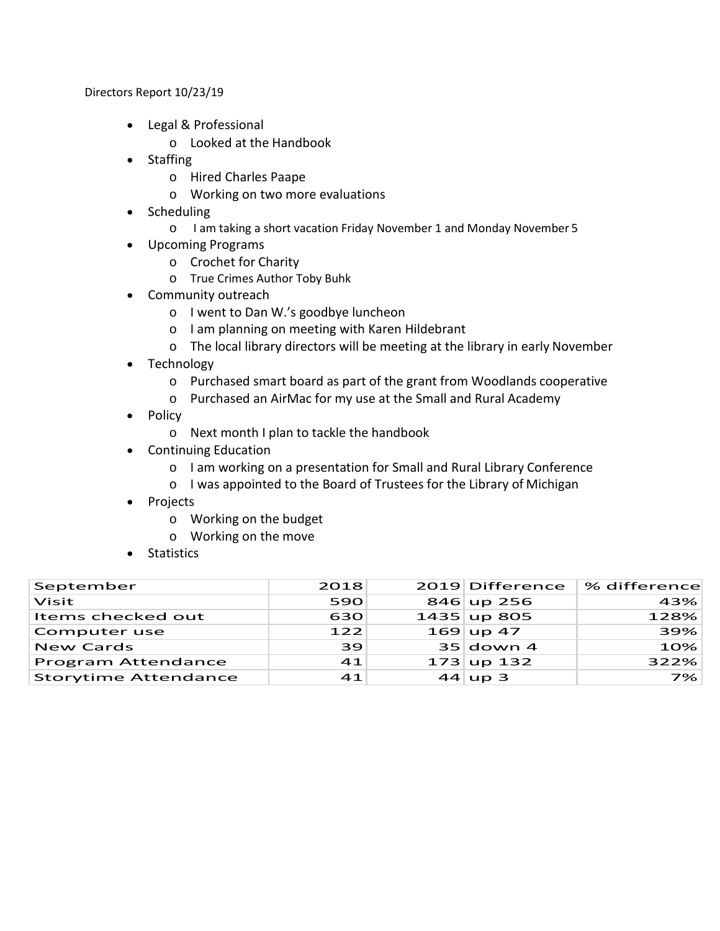Directors Report 10/23/19

- Legal & Professional
	- o Looked at the Handbook
- Staffing
	- o Hired Charles Paape
	- o Working on two more evaluations
- Scheduling
	- o I am taking a short vacation Friday November 1 and Monday November 5
- Upcoming Programs
	- o Crochet for Charity
	- o True Crimes Author Toby Buhk
- Community outreach
	- o I went to Dan W.'s goodbye luncheon
	- o I am planning on meeting with Karen Hildebrant
	- o The local library directors will be meeting at the library in early November
- Technology
	- o Purchased smart board as part of the grant from Woodlands cooperative
	- o Purchased an AirMac for my use at the Small and Rural Academy
- Policy
	- o Next month I plan to tackle the handbook
- Continuing Education
	- o I am working on a presentation for Small and Rural Library Conference
	- o I was appointed to the Board of Trustees for the Library of Michigan
- Projects
	- o Working on the budget
	- o Working on the move
- Statistics

| September                   | 2018 | 2019 Difference | % difference |
|-----------------------------|------|-----------------|--------------|
| Visit                       | 590  | $846$ up 256    | 43%          |
| Items checked out           | 630  | $1435$ up 805   | 128%         |
| Computer use                | 122  | $169$ up 47     | 39%          |
| <b>New Cards</b>            | 39   | $35$ down 4     | 10%          |
| <b>Program Attendance</b>   | 41   | $173$ up 132    | 322%         |
| <b>Storytime Attendance</b> | 41   | $44 \vert$ up 3 | 7%           |